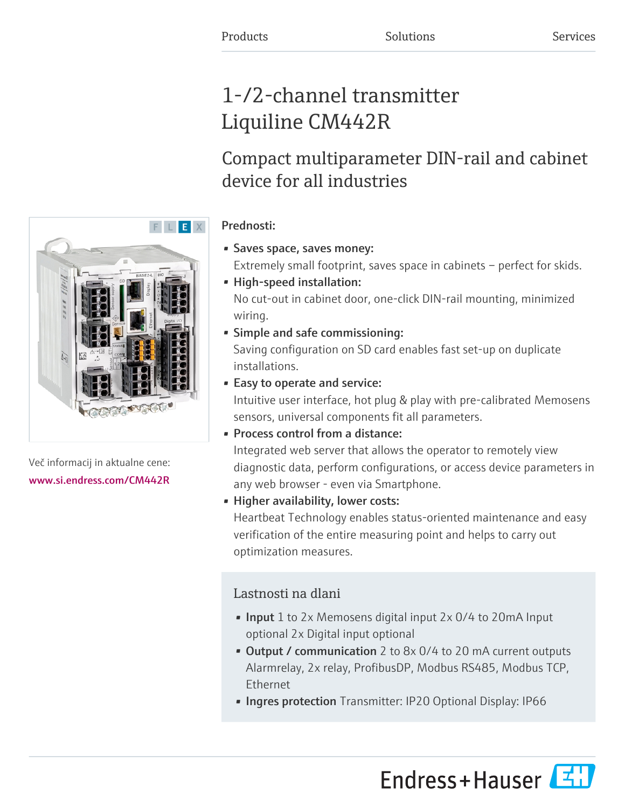# 1-/2-channel transmitter Liquiline CM442R

# Compact multiparameter DIN-rail and cabinet device for all industries

# Prednosti:

- Saves space, saves money:
	- Extremely small footprint, saves space in cabinets perfect for skids.
- High-speed installation: No cut-out in cabinet door, one-click DIN-rail mounting, minimized wiring.
- Simple and safe commissioning:

Saving configuration on SD card enables fast set-up on duplicate installations.

• Easy to operate and service:

Intuitive user interface, hot plug & play with pre-calibrated Memosens sensors, universal components fit all parameters.

• Process control from a distance:

Integrated web server that allows the operator to remotely view diagnostic data, perform configurations, or access device parameters in any web browser - even via Smartphone.

• Higher availability, lower costs:

Heartbeat Technology enables status-oriented maintenance and easy verification of the entire measuring point and helps to carry out optimization measures.

# Lastnosti na dlani

- Input 1 to 2x Memosens digital input 2x 0/4 to 20mA Input optional 2x Digital input optional
- Output / communication 2 to 8x 0/4 to 20 mA current outputs Alarmrelay, 2x relay, ProfibusDP, Modbus RS485, Modbus TCP, Ethernet
- Ingres protection Transmitter: IP20 Optional Display: IP66





Več informacij in aktualne cene: [www.si.endress.com/CM442R](https://www.si.endress.com/CM442R)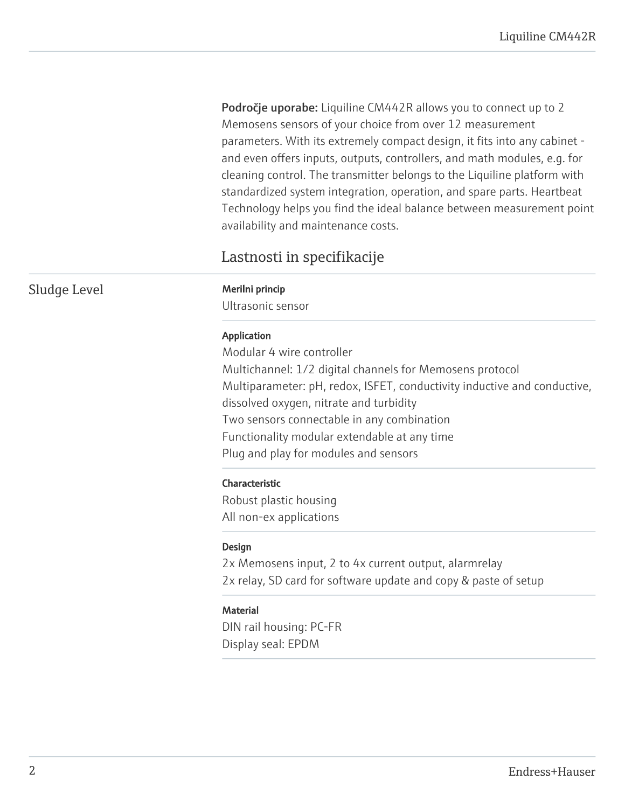Področje uporabe: Liquiline CM442R allows you to connect up to 2 Memosens sensors of your choice from over 12 measurement parameters. With its extremely compact design, it fits into any cabinet and even offers inputs, outputs, controllers, and math modules, e.g. for cleaning control. The transmitter belongs to the Liquiline platform with standardized system integration, operation, and spare parts. Heartbeat Technology helps you find the ideal balance between measurement point availability and maintenance costs.

# Lastnosti in specifikacije

Ultrasonic sensor

### Application

Modular 4 wire controller Multichannel: 1/2 digital channels for Memosens protocol Multiparameter: pH, redox, ISFET, conductivity inductive and conductive, dissolved oxygen, nitrate and turbidity Two sensors connectable in any combination Functionality modular extendable at any time Plug and play for modules and sensors

# Characteristic

Robust plastic housing All non-ex applications

#### Design

2x Memosens input, 2 to 4x current output, alarmrelay 2x relay, SD card for software update and copy & paste of setup

# **Material**

DIN rail housing: PC-FR Display seal: EPDM

Sludge Level Merilni princip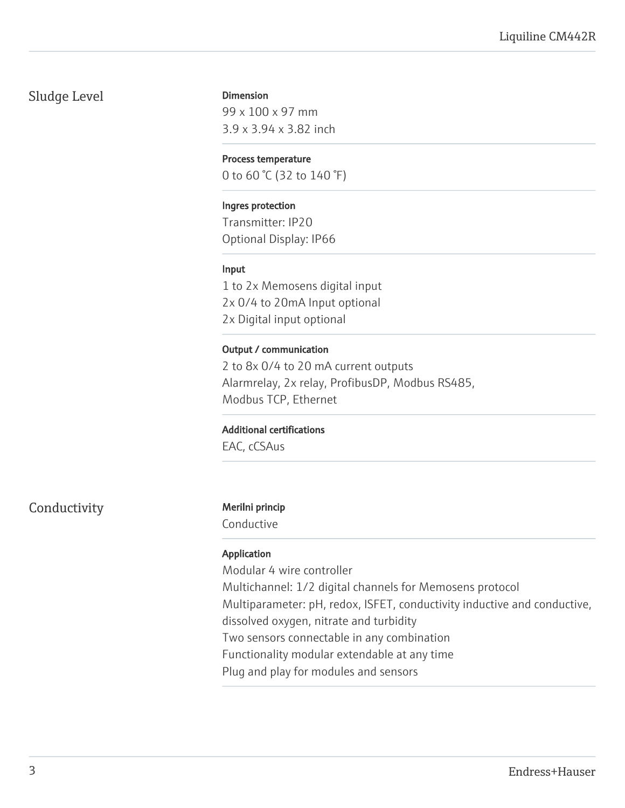# Sludge Level

#### Dimension

99 x 100 x 97 mm 3.9 x 3.94 x 3.82 inch

### Process temperature

0 to 60 °C (32 to 140 °F)

# Ingres protection

Transmitter: IP20 Optional Display: IP66

# Input

1 to 2x Memosens digital input 2x 0/4 to 20mA Input optional 2x Digital input optional

# Output / communication

2 to 8x 0/4 to 20 mA current outputs Alarmrelay, 2x relay, ProfibusDP, Modbus RS485, Modbus TCP, Ethernet

# Additional certifications

EAC, cCSAus

Conductivity Merilni princip

Conductive

# Application

Modular 4 wire controller Multichannel: 1/2 digital channels for Memosens protocol Multiparameter: pH, redox, ISFET, conductivity inductive and conductive, dissolved oxygen, nitrate and turbidity

Two sensors connectable in any combination

Functionality modular extendable at any time

Plug and play for modules and sensors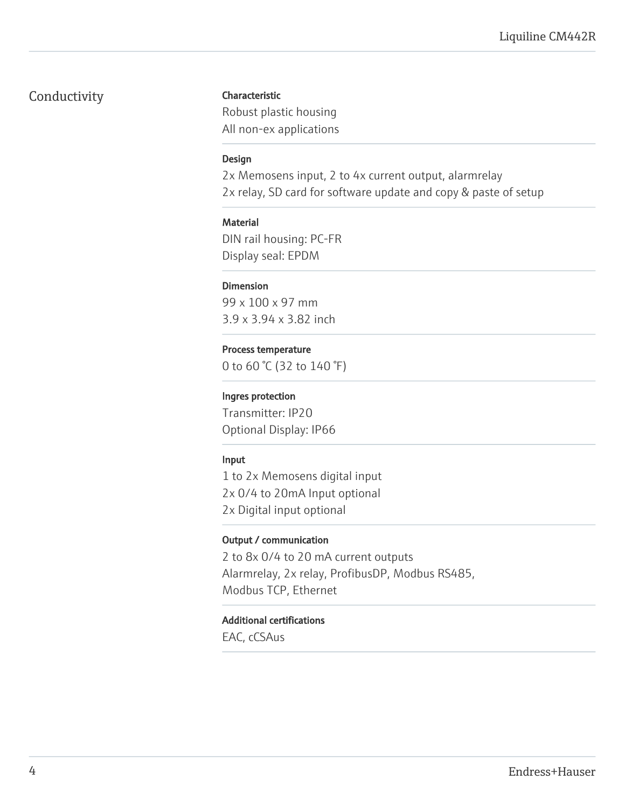# Conductivity

# Characteristic

Robust plastic housing All non-ex applications

# Design

2x Memosens input, 2 to 4x current output, alarmrelay 2x relay, SD card for software update and copy & paste of setup

# **Material**

DIN rail housing: PC-FR Display seal: EPDM

# Dimension

99 x 100 x 97 mm 3.9 x 3.94 x 3.82 inch

# Process temperature

0 to 60 °C (32 to 140 °F)

# Ingres protection

Transmitter: IP20 Optional Display: IP66

# Input

1 to 2x Memosens digital input 2x 0/4 to 20mA Input optional 2x Digital input optional

# Output / communication

2 to 8x 0/4 to 20 mA current outputs Alarmrelay, 2x relay, ProfibusDP, Modbus RS485, Modbus TCP, Ethernet

# Additional certifications

EAC, cCSAus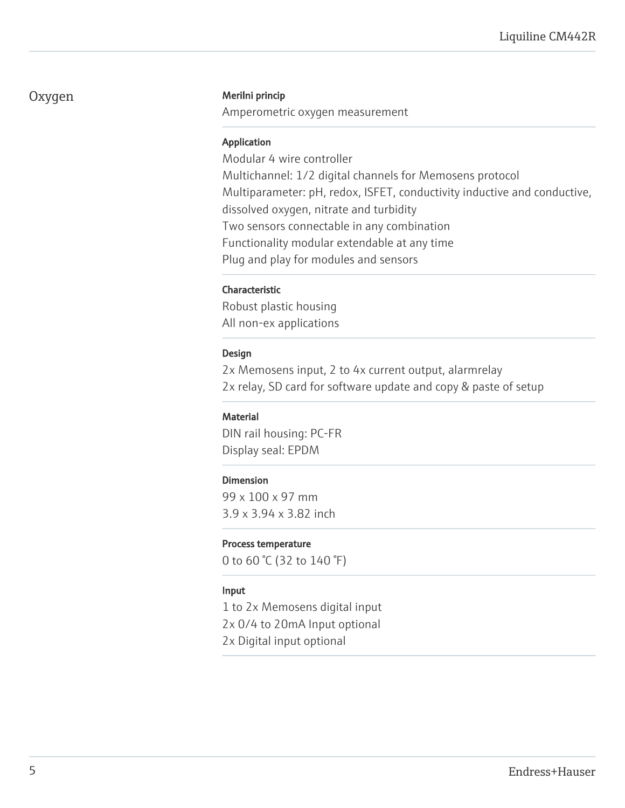# Oxygen Merilni princip

Amperometric oxygen measurement

# Application

Modular 4 wire controller Multichannel: 1/2 digital channels for Memosens protocol Multiparameter: pH, redox, ISFET, conductivity inductive and conductive, dissolved oxygen, nitrate and turbidity Two sensors connectable in any combination Functionality modular extendable at any time Plug and play for modules and sensors

# Characteristic

Robust plastic housing All non-ex applications

# Design

2x Memosens input, 2 to 4x current output, alarmrelay 2x relay, SD card for software update and copy & paste of setup

# **Material**

DIN rail housing: PC-FR Display seal: EPDM

# Dimension

99 x 100 x 97 mm 3.9 x 3.94 x 3.82 inch

# Process temperature

0 to 60 °C (32 to 140 °F)

#### Input

1 to 2x Memosens digital input 2x 0/4 to 20mA Input optional 2x Digital input optional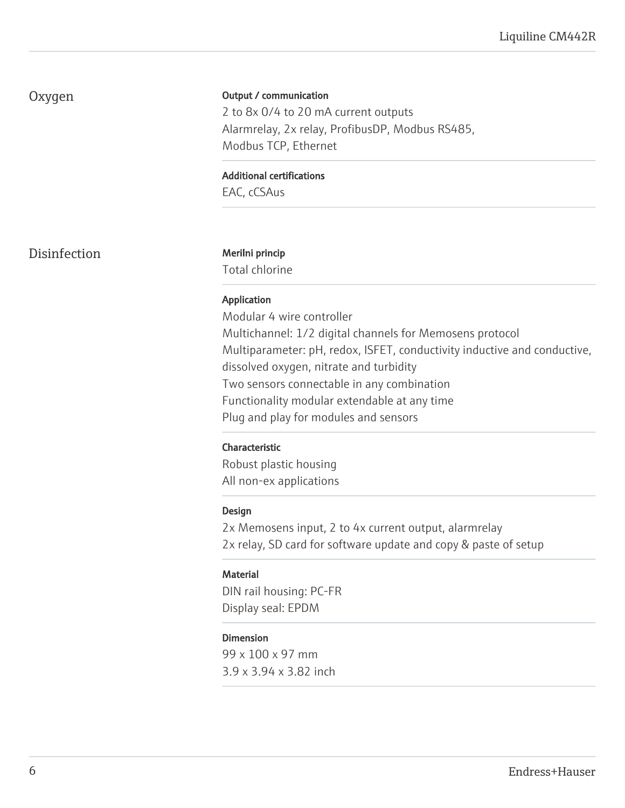# Oxygen

### Output / communication

2 to 8x 0/4 to 20 mA current outputs Alarmrelay, 2x relay, ProfibusDP, Modbus RS485, Modbus TCP, Ethernet

Additional certifications

EAC, cCSAus

Disinfection Merilni princip

Total chlorine

# Application

Modular 4 wire controller Multichannel: 1/2 digital channels for Memosens protocol Multiparameter: pH, redox, ISFET, conductivity inductive and conductive, dissolved oxygen, nitrate and turbidity Two sensors connectable in any combination Functionality modular extendable at any time Plug and play for modules and sensors

#### Characteristic

Robust plastic housing All non-ex applications

#### Design

2x Memosens input, 2 to 4x current output, alarmrelay 2x relay, SD card for software update and copy & paste of setup

# **Material**

DIN rail housing: PC-FR Display seal: EPDM

#### Dimension

99 x 100 x 97 mm 3.9 x 3.94 x 3.82 inch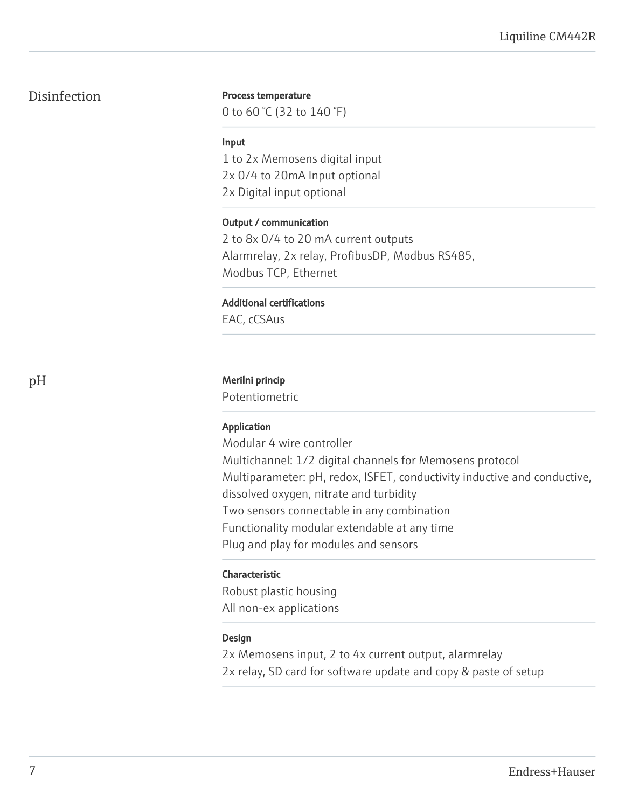# Disinfection

#### Process temperature

0 to 60 °C (32 to 140 °F)

#### Input

1 to 2x Memosens digital input 2x 0/4 to 20mA Input optional 2x Digital input optional

# Output / communication

2 to 8x 0/4 to 20 mA current outputs Alarmrelay, 2x relay, ProfibusDP, Modbus RS485, Modbus TCP, Ethernet

### Additional certifications

EAC, cCSAus

#### pH Merilni princip

Potentiometric

# Application

Modular 4 wire controller Multichannel: 1/2 digital channels for Memosens protocol Multiparameter: pH, redox, ISFET, conductivity inductive and conductive, dissolved oxygen, nitrate and turbidity Two sensors connectable in any combination Functionality modular extendable at any time Plug and play for modules and sensors

# Characteristic

Robust plastic housing All non-ex applications

# Design

2x Memosens input, 2 to 4x current output, alarmrelay 2x relay, SD card for software update and copy & paste of setup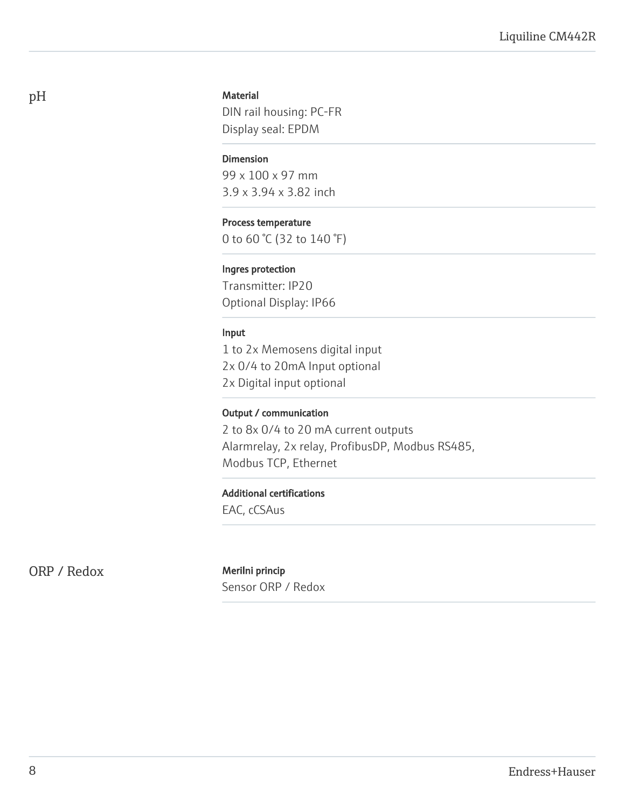### **Material**

DIN rail housing: PC-FR Display seal: EPDM

#### Dimension

99 x 100 x 97 mm 3.9 x 3.94 x 3.82 inch

# Process temperature

0 to 60 °C (32 to 140 °F)

#### Ingres protection

Transmitter: IP20 Optional Display: IP66

# Input

1 to 2x Memosens digital input 2x 0/4 to 20mA Input optional 2x Digital input optional

### Output / communication

2 to 8x 0/4 to 20 mA current outputs Alarmrelay, 2x relay, ProfibusDP, Modbus RS485, Modbus TCP, Ethernet

#### Additional certifications

EAC, cCSAus

ORP / Redox Merilni princip

Sensor ORP / Redox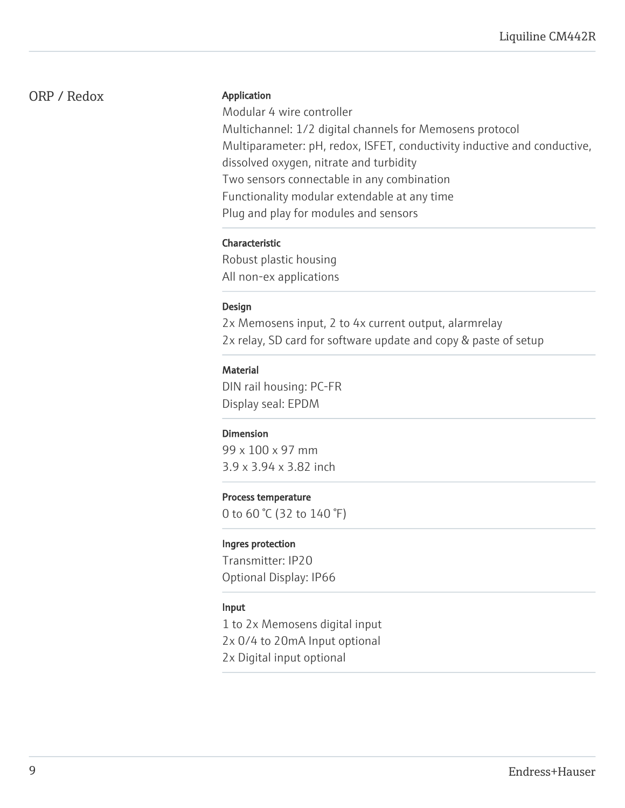# ORP / Redox

#### Application

Modular 4 wire controller Multichannel: 1/2 digital channels for Memosens protocol Multiparameter: pH, redox, ISFET, conductivity inductive and conductive, dissolved oxygen, nitrate and turbidity Two sensors connectable in any combination Functionality modular extendable at any time Plug and play for modules and sensors

# Characteristic

Robust plastic housing All non-ex applications

# Design

2x Memosens input, 2 to 4x current output, alarmrelay 2x relay, SD card for software update and copy & paste of setup

# **Material**

DIN rail housing: PC-FR Display seal: EPDM

# Dimension

99 x 100 x 97 mm 3.9 x 3.94 x 3.82 inch

# Process temperature

0 to 60 °C (32 to 140 °F)

# Ingres protection

Transmitter: IP20 Optional Display: IP66

# Input

1 to 2x Memosens digital input 2x 0/4 to 20mA Input optional 2x Digital input optional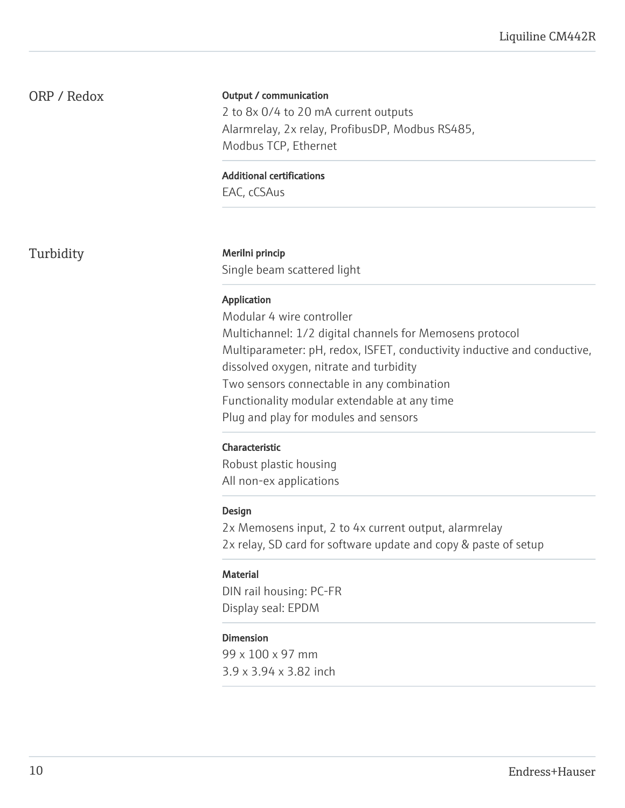# ORP / Redox

### Output / communication

2 to 8x 0/4 to 20 mA current outputs Alarmrelay, 2x relay, ProfibusDP, Modbus RS485, Modbus TCP, Ethernet

#### Additional certifications

EAC, cCSAus

Turbidity Merilni princip

Single beam scattered light

# Application

Modular 4 wire controller Multichannel: 1/2 digital channels for Memosens protocol Multiparameter: pH, redox, ISFET, conductivity inductive and conductive, dissolved oxygen, nitrate and turbidity Two sensors connectable in any combination Functionality modular extendable at any time Plug and play for modules and sensors

# Characteristic

Robust plastic housing All non-ex applications

# Design

2x Memosens input, 2 to 4x current output, alarmrelay 2x relay, SD card for software update and copy & paste of setup

# **Material**

DIN rail housing: PC-FR Display seal: EPDM

# Dimension

99 x 100 x 97 mm 3.9 x 3.94 x 3.82 inch